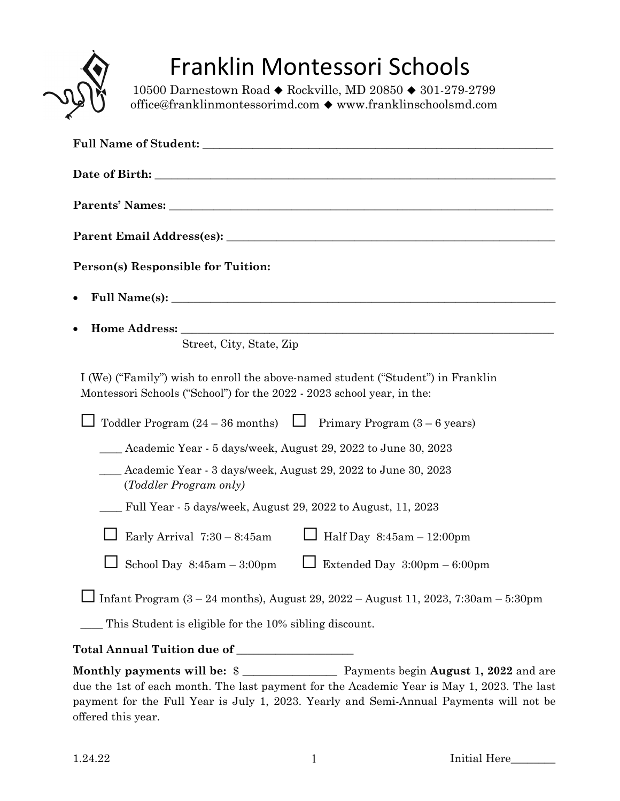

# Franklin Montessori Schools

10500 Darnestown Road ♦ Rockville, MD 20850 ♦ 301-279-2799 office@franklinmontessorimd.com www.franklinschoolsmd.com

| Person(s) Responsible for Tuition:                                                                                                                                  |
|---------------------------------------------------------------------------------------------------------------------------------------------------------------------|
| ٠                                                                                                                                                                   |
| $\bullet$                                                                                                                                                           |
| Street, City, State, Zip                                                                                                                                            |
| I (We) ("Family") wish to enroll the above-named student ("Student") in Franklin<br>Montessori Schools ("School") for the 2022 - 2023 school year, in the:          |
| Toddler Program $(24 - 36$ months) $\Box$ Primary Program $(3 - 6$ years)                                                                                           |
| _ Academic Year - 5 days/week, August 29, 2022 to June 30, 2023                                                                                                     |
| Academic Year - 3 days/week, August 29, 2022 to June 30, 2023<br>(Toddler Program only)                                                                             |
| Full Year - 5 days/week, August 29, 2022 to August, 11, 2023                                                                                                        |
| Half Day $8:45am - 12:00pm$<br>Early Arrival $7:30 - 8:45$ am                                                                                                       |
| School Day $8:45am - 3:00pm$<br>Extended Day 3:00pm - 6:00pm                                                                                                        |
| Infant Program (3 - 24 months), August 29, 2022 - August 11, 2023, 7:30am - 5:30pm                                                                                  |
| This Student is eligible for the 10% sibling discount.                                                                                                              |
| Total Annual Tuition due of __________________                                                                                                                      |
| Monthly payments will be: \$<br>Payments begin August 1, 2022 and are<br>due the 1st of each month. The last payment for the Academic Year is May 1, 2023. The last |

payment for the Full Year is July 1, 2023. Yearly and Semi-Annual Payments will not be offered this year.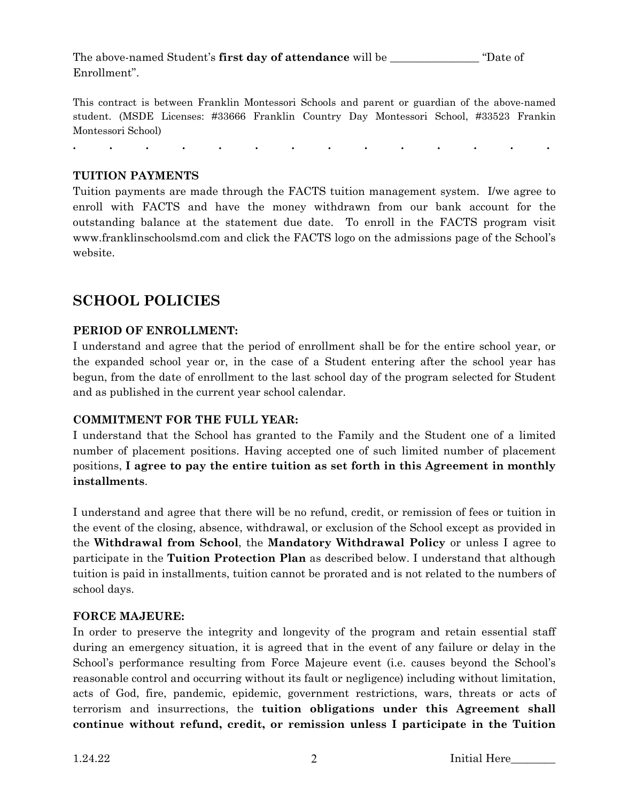The above-named Student's **first day of attendance** will be \_\_\_\_\_\_\_\_\_\_\_\_\_\_\_\_ "Date of Enrollment".

This contract is between Franklin Montessori Schools and parent or guardian of the above-named student. (MSDE Licenses: #33666 Franklin Country Day Montessori School, #33523 Frankin Montessori School)

**. . . . . . . . . . . . . .** 

#### **TUITION PAYMENTS**

Tuition payments are made through the FACTS tuition management system. I/we agree to enroll with FACTS and have the money withdrawn from our bank account for the outstanding balance at the statement due date. To enroll in the FACTS program visit www.franklinschoolsmd.com and click the FACTS logo on the admissions page of the School's website.

# **SCHOOL POLICIES**

#### **PERIOD OF ENROLLMENT:**

I understand and agree that the period of enrollment shall be for the entire school year, or the expanded school year or, in the case of a Student entering after the school year has begun, from the date of enrollment to the last school day of the program selected for Student and as published in the current year school calendar.

#### **COMMITMENT FOR THE FULL YEAR:**

I understand that the School has granted to the Family and the Student one of a limited number of placement positions. Having accepted one of such limited number of placement positions, **I agree to pay the entire tuition as set forth in this Agreement in monthly installments**.

I understand and agree that there will be no refund, credit, or remission of fees or tuition in the event of the closing, absence, withdrawal, or exclusion of the School except as provided in the **Withdrawal from School**, the **Mandatory Withdrawal Policy** or unless I agree to participate in the **Tuition Protection Plan** as described below. I understand that although tuition is paid in installments, tuition cannot be prorated and is not related to the numbers of school days.

#### **FORCE MAJEURE:**

In order to preserve the integrity and longevity of the program and retain essential staff during an emergency situation, it is agreed that in the event of any failure or delay in the School's performance resulting from Force Majeure event (i.e. causes beyond the School's reasonable control and occurring without its fault or negligence) including without limitation, acts of God, fire, pandemic, epidemic, government restrictions, wars, threats or acts of terrorism and insurrections, the **tuition obligations under this Agreement shall continue without refund, credit, or remission unless I participate in the Tuition**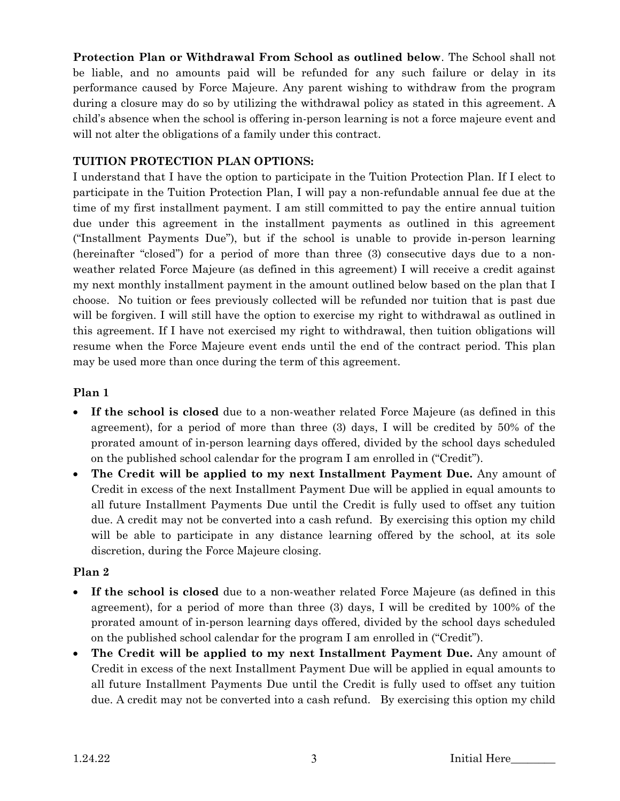**Protection Plan or Withdrawal From School as outlined below**. The School shall not be liable, and no amounts paid will be refunded for any such failure or delay in its performance caused by Force Majeure. Any parent wishing to withdraw from the program during a closure may do so by utilizing the withdrawal policy as stated in this agreement. A child's absence when the school is offering in-person learning is not a force majeure event and will not alter the obligations of a family under this contract.

## **TUITION PROTECTION PLAN OPTIONS:**

I understand that I have the option to participate in the Tuition Protection Plan. If I elect to participate in the Tuition Protection Plan, I will pay a non-refundable annual fee due at the time of my first installment payment. I am still committed to pay the entire annual tuition due under this agreement in the installment payments as outlined in this agreement ("Installment Payments Due"), but if the school is unable to provide in-person learning (hereinafter "closed") for a period of more than three (3) consecutive days due to a nonweather related Force Majeure (as defined in this agreement) I will receive a credit against my next monthly installment payment in the amount outlined below based on the plan that I choose. No tuition or fees previously collected will be refunded nor tuition that is past due will be forgiven. I will still have the option to exercise my right to withdrawal as outlined in this agreement. If I have not exercised my right to withdrawal, then tuition obligations will resume when the Force Majeure event ends until the end of the contract period. This plan may be used more than once during the term of this agreement.

## **Plan 1**

- **If the school is closed** due to a non-weather related Force Majeure (as defined in this agreement), for a period of more than three (3) days, I will be credited by 50% of the prorated amount of in-person learning days offered, divided by the school days scheduled on the published school calendar for the program I am enrolled in ("Credit").
- **The Credit will be applied to my next Installment Payment Due.** Any amount of Credit in excess of the next Installment Payment Due will be applied in equal amounts to all future Installment Payments Due until the Credit is fully used to offset any tuition due. A credit may not be converted into a cash refund. By exercising this option my child will be able to participate in any distance learning offered by the school, at its sole discretion, during the Force Majeure closing.

## **Plan 2**

- **If the school is closed** due to a non-weather related Force Majeure (as defined in this agreement), for a period of more than three (3) days, I will be credited by 100% of the prorated amount of in-person learning days offered, divided by the school days scheduled on the published school calendar for the program I am enrolled in ("Credit").
- **The Credit will be applied to my next Installment Payment Due.** Any amount of Credit in excess of the next Installment Payment Due will be applied in equal amounts to all future Installment Payments Due until the Credit is fully used to offset any tuition due. A credit may not be converted into a cash refund. By exercising this option my child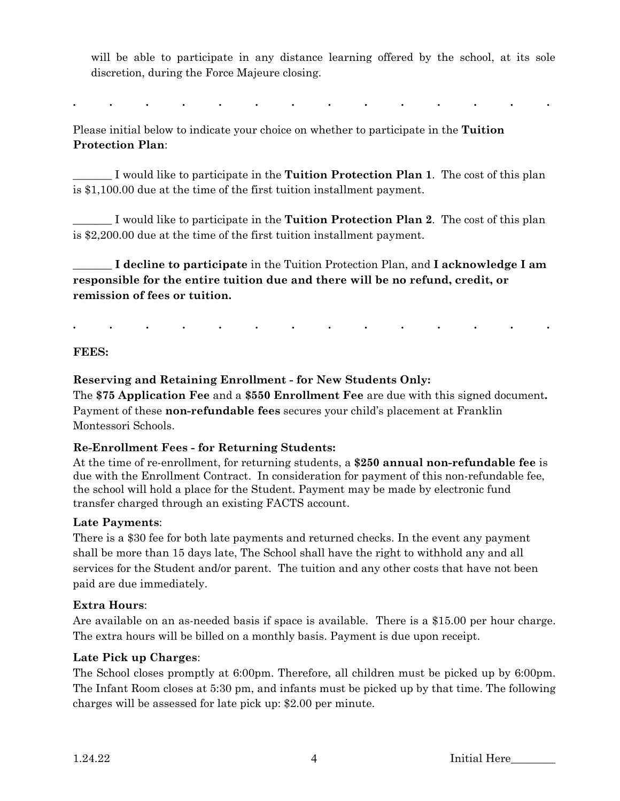will be able to participate in any distance learning offered by the school, at its sole discretion, during the Force Majeure closing.

**. . . . . . . . . . . . . .** 

Please initial below to indicate your choice on whether to participate in the **Tuition Protection Plan**:

\_\_\_\_\_\_\_ I would like to participate in the **Tuition Protection Plan 1**. The cost of this plan is \$1,100.00 due at the time of the first tuition installment payment.

\_\_\_\_\_\_\_ I would like to participate in the **Tuition Protection Plan 2**. The cost of this plan is \$2,200.00 due at the time of the first tuition installment payment.

\_\_\_\_\_\_\_ **I decline to participate** in the Tuition Protection Plan, and **I acknowledge I am responsible for the entire tuition due and there will be no refund, credit, or remission of fees or tuition.** 

**. . . . . . . . . . . . . .** 

**FEES:** 

## **Reserving and Retaining Enrollment - for New Students Only:**

The **\$75 Application Fee** and a **\$550 Enrollment Fee** are due with this signed document**.**  Payment of these **non-refundable fees** secures your child's placement at Franklin Montessori Schools.

#### **Re-Enrollment Fees - for Returning Students:**

At the time of re-enrollment, for returning students, a **\$250 annual non-refundable fee** is due with the Enrollment Contract. In consideration for payment of this non-refundable fee, the school will hold a place for the Student. Payment may be made by electronic fund transfer charged through an existing FACTS account.

## **Late Payments**:

There is a \$30 fee for both late payments and returned checks. In the event any payment shall be more than 15 days late, The School shall have the right to withhold any and all services for the Student and/or parent. The tuition and any other costs that have not been paid are due immediately.

## **Extra Hours**:

Are available on an as-needed basis if space is available. There is a \$15.00 per hour charge. The extra hours will be billed on a monthly basis. Payment is due upon receipt.

## **Late Pick up Charges**:

The School closes promptly at 6:00pm. Therefore, all children must be picked up by 6:00pm. The Infant Room closes at 5:30 pm, and infants must be picked up by that time. The following charges will be assessed for late pick up: \$2.00 per minute.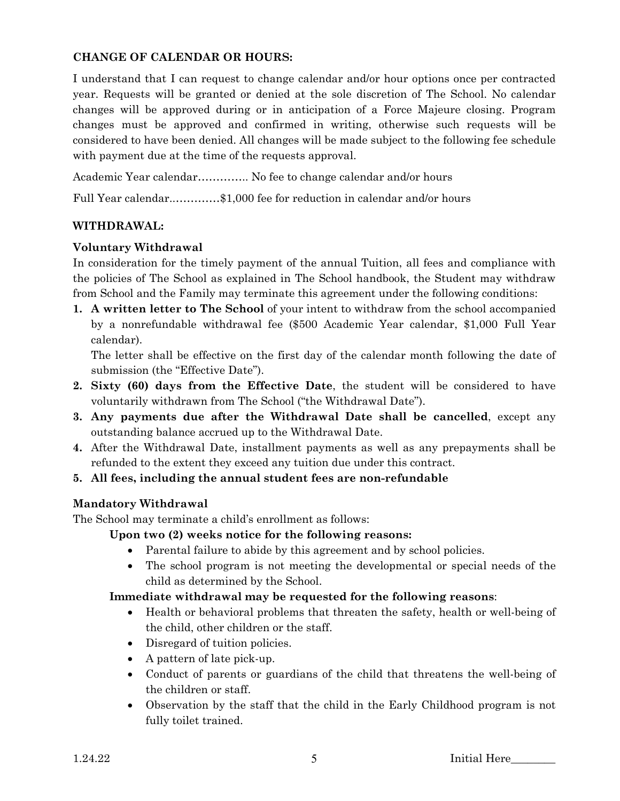#### **CHANGE OF CALENDAR OR HOURS:**

I understand that I can request to change calendar and/or hour options once per contracted year. Requests will be granted or denied at the sole discretion of The School. No calendar changes will be approved during or in anticipation of a Force Majeure closing. Program changes must be approved and confirmed in writing, otherwise such requests will be considered to have been denied. All changes will be made subject to the following fee schedule with payment due at the time of the requests approval.

Academic Year calendar………….. No fee to change calendar and/or hours

Full Year calendar..…………\$1,000 fee for reduction in calendar and/or hours

## **WITHDRAWAL:**

#### **Voluntary Withdrawal**

In consideration for the timely payment of the annual Tuition, all fees and compliance with the policies of The School as explained in The School handbook, the Student may withdraw from School and the Family may terminate this agreement under the following conditions:

**1. A written letter to The School** of your intent to withdraw from the school accompanied by a nonrefundable withdrawal fee (\$500 Academic Year calendar, \$1,000 Full Year calendar).

The letter shall be effective on the first day of the calendar month following the date of submission (the "Effective Date").

- **2. Sixty (60) days from the Effective Date**, the student will be considered to have voluntarily withdrawn from The School ("the Withdrawal Date").
- **3. Any payments due after the Withdrawal Date shall be cancelled**, except any outstanding balance accrued up to the Withdrawal Date.
- **4.** After the Withdrawal Date, installment payments as well as any prepayments shall be refunded to the extent they exceed any tuition due under this contract.
- **5. All fees, including the annual student fees are non-refundable**

## **Mandatory Withdrawal**

The School may terminate a child's enrollment as follows:

**Upon two (2) weeks notice for the following reasons:**

- Parental failure to abide by this agreement and by school policies.
- The school program is not meeting the developmental or special needs of the child as determined by the School.

## **Immediate withdrawal may be requested for the following reasons**:

- Health or behavioral problems that threaten the safety, health or well-being of the child, other children or the staff.
- Disregard of tuition policies.
- A pattern of late pick-up.
- Conduct of parents or guardians of the child that threatens the well-being of the children or staff.
- Observation by the staff that the child in the Early Childhood program is not fully toilet trained.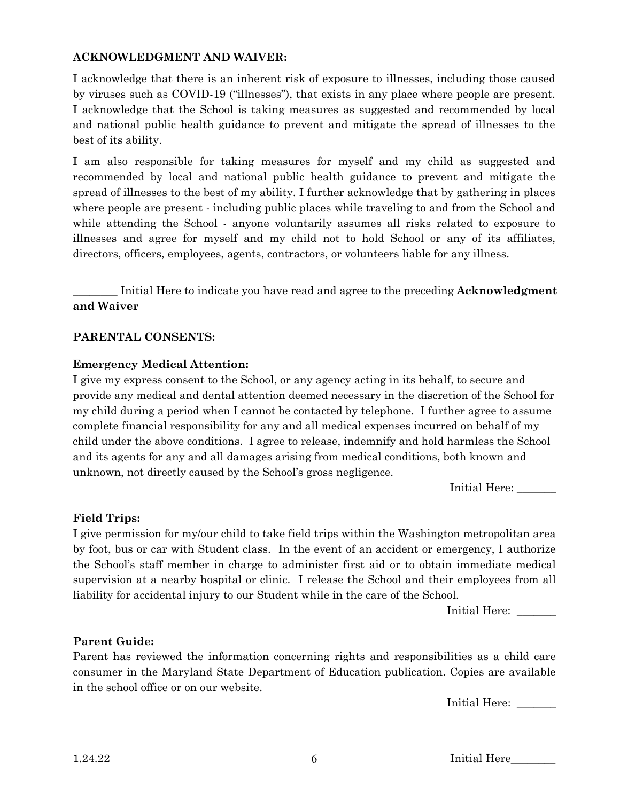#### **ACKNOWLEDGMENT AND WAIVER:**

I acknowledge that there is an inherent risk of exposure to illnesses, including those caused by viruses such as COVID-19 ("illnesses"), that exists in any place where people are present. I acknowledge that the School is taking measures as suggested and recommended by local and national public health guidance to prevent and mitigate the spread of illnesses to the best of its ability.

I am also responsible for taking measures for myself and my child as suggested and recommended by local and national public health guidance to prevent and mitigate the spread of illnesses to the best of my ability. I further acknowledge that by gathering in places where people are present - including public places while traveling to and from the School and while attending the School - anyone voluntarily assumes all risks related to exposure to illnesses and agree for myself and my child not to hold School or any of its affiliates, directors, officers, employees, agents, contractors, or volunteers liable for any illness.

\_\_\_\_\_\_\_\_ Initial Here to indicate you have read and agree to the preceding **Acknowledgment and Waiver** 

#### **PARENTAL CONSENTS:**

#### **Emergency Medical Attention:**

I give my express consent to the School, or any agency acting in its behalf, to secure and provide any medical and dental attention deemed necessary in the discretion of the School for my child during a period when I cannot be contacted by telephone. I further agree to assume complete financial responsibility for any and all medical expenses incurred on behalf of my child under the above conditions. I agree to release, indemnify and hold harmless the School and its agents for any and all damages arising from medical conditions, both known and unknown, not directly caused by the School's gross negligence.

Initial Here: \_\_\_\_\_\_\_

#### **Field Trips:**

I give permission for my/our child to take field trips within the Washington metropolitan area by foot, bus or car with Student class. In the event of an accident or emergency, I authorize the School's staff member in charge to administer first aid or to obtain immediate medical supervision at a nearby hospital or clinic. I release the School and their employees from all liability for accidental injury to our Student while in the care of the School.

Initial Here:

#### **Parent Guide:**

Parent has reviewed the information concerning rights and responsibilities as a child care consumer in the Maryland State Department of Education publication. Copies are available in the school office or on our website.

Initial Here: \_\_\_\_\_\_\_\_

1.24.22 6 Initial Here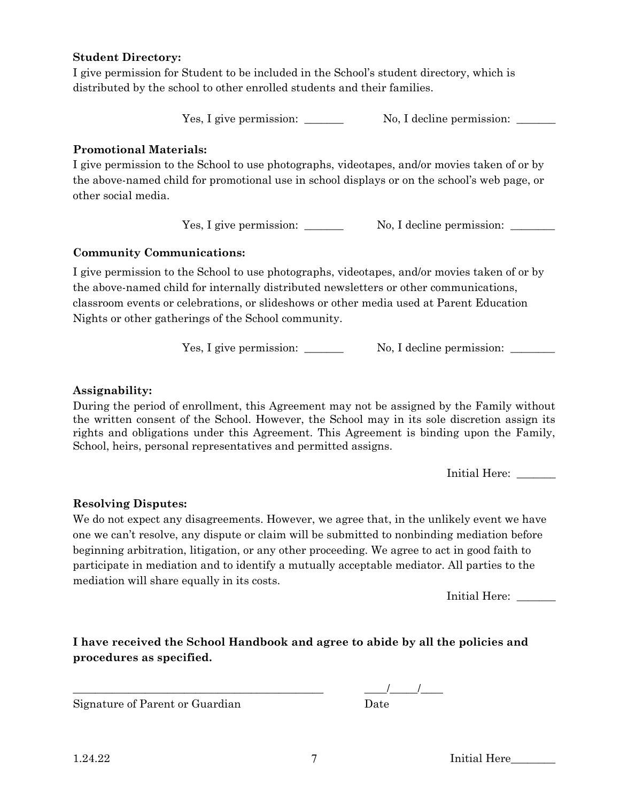#### **Student Directory:**

I give permission for Student to be included in the School's student directory, which is distributed by the school to other enrolled students and their families.

Yes, I give permission: No, I decline permission: \_\_\_\_\_\_\_

## **Promotional Materials:**

I give permission to the School to use photographs, videotapes, and/or movies taken of or by the above-named child for promotional use in school displays or on the school's web page, or other social media.

Yes, I give permission: \_\_\_\_\_\_\_ No, I decline permission: \_\_\_\_\_\_\_

## **Community Communications:**

I give permission to the School to use photographs, videotapes, and/or movies taken of or by the above-named child for internally distributed newsletters or other communications, classroom events or celebrations, or slideshows or other media used at Parent Education Nights or other gatherings of the School community.

Yes, I give permission: \_\_\_\_\_\_\_ No, I decline permission: \_\_\_\_\_\_

## **Assignability:**

During the period of enrollment, this Agreement may not be assigned by the Family without the written consent of the School. However, the School may in its sole discretion assign its rights and obligations under this Agreement. This Agreement is binding upon the Family, School, heirs, personal representatives and permitted assigns.

Initial Here: \_\_\_\_\_\_\_\_

## **Resolving Disputes:**

We do not expect any disagreements. However, we agree that, in the unlikely event we have one we can't resolve, any dispute or claim will be submitted to nonbinding mediation before beginning arbitration, litigation, or any other proceeding. We agree to act in good faith to participate in mediation and to identify a mutually acceptable mediator. All parties to the mediation will share equally in its costs.

Initial Here:

**I have received the School Handbook and agree to abide by all the policies and procedures as specified.** 

Signature of Parent or Guardian Date

 $1.24.22$   $7$  Initial Here